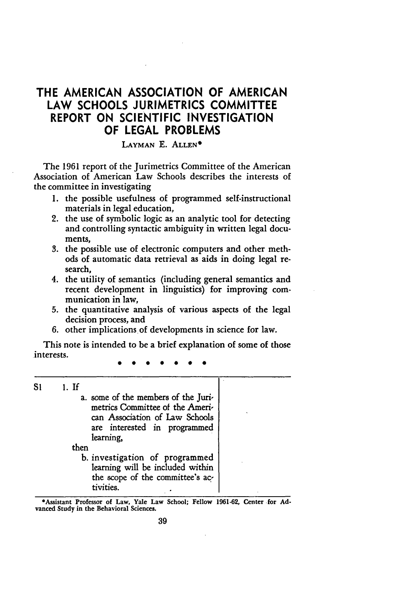# THE **AMERICAN ASSOCIATION** OF **AMERICAN** LAW **SCHOOLS** JURIMETRICS COMMITTEE REPORT **ON SCIENTIFIC INVESTIGATION** OF **LEGAL** PROBLEMS

## LAYMAN E. ALLEN<sup>\*</sup>

The 1961 report of the Jurimetrics Committee of the American Association of American Law Schools describes the interests of the committee in investigating

- **1.** the possible usefulness of programmed self-instructional materials in legal education,
- 2. the use of symbolic logic as an analytic tool for detecting and controlling syntactic ambiguity in written legal documents,
- **3.** the possible use of electronic computers and other methods of automatic data retrieval as aids in doing legal research,
- 4. the utility of semantics (including general semantics and recent development in linguistics) for improving communication in law,
- **5.** the quantitative analysis of various aspects of the legal decision process, and
- **6.** other implications of developments in science for law.

This note is intended to be a brief explanation of some of those interests.

**S1** *1.* If

a. some of the members of the Jurimetrics Committee of the American Association of Law Schools are interested in programmed learning,

then

b. investigation of programmed learning will be included within the scope of the committee's activities.

\*Assistant Professor of Law, Yale Law School; Fellow **1961-62,** Center for **Ad**vanced Study in the Behavioral Sciences.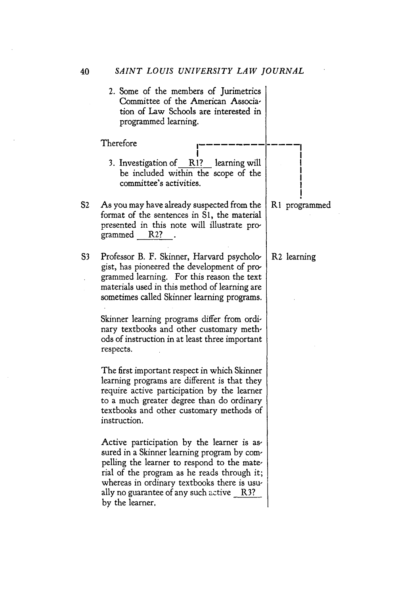40 *SAINT LOUIS UNIVERSITY LAW JOURNAL*

2. Some of the members of Jurimetrics Committee of the American Association of Law Schools are interested in programmed learning.

**Therefore** 

3. Investigation of RI? learning will be included within the scope of the committee's activities.

**! I**

- **S2** As you may have already suspected from the format of the sentences in Si, the material presented in this note will illustrate programmed R2?
- **S3** Professor B. F. Skinner, Harvard psychologist, has pioneered the development of programmed learning. For this reason the text materials used in this method of learning are sometimes called Skinner learning programs.

Skinner learning programs differ from ordinary textbooks and other customary methods of instruction in at least three important respects.

The first important respect in which Skinner learning programs are different is that they require active participation by the learner to a much greater degree than do ordinary textbooks and other customary methods of instruction.

Active participation by the learner is assured in a Skinner learning program by compelling the learner to respond to the mate, rial of the program as he reads through it; whereas in ordinary textbooks there is usually no guarantee of any such active  $R3$ ? by the learner.

**RI** programmed

R2 learning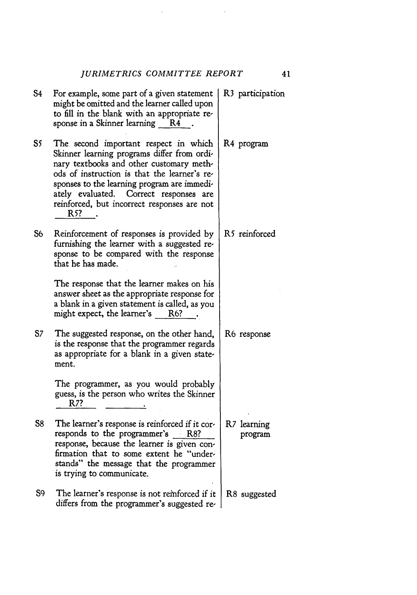$\Delta \phi = 0.01$  , where  $\phi = 0.01$ 

| S4 | For example, some part of a given statement<br>might be omitted and the learner called upon<br>to fill in the blank with an appropriate re-<br>sponse in a Skinner learning<br>R4                                                                                                                                               | R <sub>3</sub> participation |
|----|---------------------------------------------------------------------------------------------------------------------------------------------------------------------------------------------------------------------------------------------------------------------------------------------------------------------------------|------------------------------|
| S5 | The second important respect in which<br>Skinner learning programs differ from ordi-<br>nary textbooks and other customary meth-<br>ods of instruction is that the learner's re-<br>sponses to the learning program are immedi-<br>ately evaluated. Correct responses are<br>reinforced, but incorrect responses are not<br>R5? | R4 program                   |
| S6 | Reinforcement of responses is provided by<br>furnishing the learner with a suggested re-<br>sponse to be compared with the response<br>that he has made.                                                                                                                                                                        | R5 reinforced                |
|    | The response that the learner makes on his<br>answer sheet as the appropriate response for<br>a blank in a given statement is called, as you<br>might expect, the learner's R6?                                                                                                                                                 |                              |
| S7 | The suggested response, on the other hand,<br>is the response that the programmer regards<br>as appropriate for a blank in a given state-<br>ment.                                                                                                                                                                              | R6 response                  |
|    | The programmer, as you would probably<br>guess, is the person who writes the Skinner<br>R7?                                                                                                                                                                                                                                     |                              |
| S8 | The learner's response is reinforced if it cor-<br>responds to the programmer's R8?<br>response, because the learner is given con-<br>firmation that to some extent he "under-<br>stands" the message that the programmer<br>is trying to communicate.                                                                          | R7 learning<br>program       |
| S9 | The learner's response is not reinforced if it<br>differs from the programmer's suggested re-                                                                                                                                                                                                                                   | R8 suggested                 |

41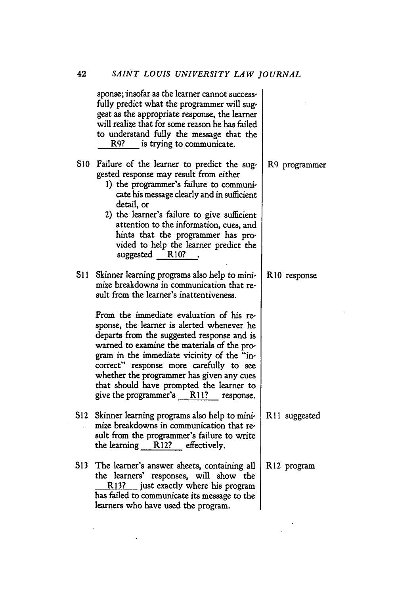|                 | sponse; insofar as the learner cannot success-<br>fully predict what the programmer will sug-<br>gest as the appropriate response, the learner<br>will realize that for some reason he has failed<br>to understand fully the message that the<br>R9? is trying to communicate.                                                                                                                                                                                                                                                                         |                          |
|-----------------|--------------------------------------------------------------------------------------------------------------------------------------------------------------------------------------------------------------------------------------------------------------------------------------------------------------------------------------------------------------------------------------------------------------------------------------------------------------------------------------------------------------------------------------------------------|--------------------------|
| S <sub>10</sub> | Failure of the learner to predict the sug-<br>gested response may result from either<br>1) the programmer's failure to communi-<br>cate his message clearly and in sufficient<br>detail, or<br>2) the learner's failure to give sufficient<br>attention to the information, cues, and<br>hints that the programmer has pro-<br>vided to help the learner predict the<br>suggested R10?                                                                                                                                                                 | R9 programmer            |
| S11             | Skinner learning programs also help to mini-<br>mize breakdowns in communication that re-<br>sult from the learner's inattentiveness.<br>From the immediate evaluation of his re-<br>sponse, the learner is alerted whenever he<br>departs from the suggested response and is<br>warned to examine the materials of the pro-<br>gram in the immediate vicinity of the "in-<br>correct" response more carefully to see<br>whether the programmer has given any cues<br>that should have prompted the learner to<br>give the programmer's R11? response. | R <sub>10</sub> response |
| S12             | Skinner learning programs also help to mini-<br>mize breakdowns in communication that re-<br>sult from the programmer's failure to write<br>the learning R12? effectively.                                                                                                                                                                                                                                                                                                                                                                             | R11 suggested            |
| S13             | The learner's answer sheets, containing all<br>the learners' responses, will show the<br>R13? just exactly where his program<br>has failed to communicate its message to the<br>learners who have used the program.                                                                                                                                                                                                                                                                                                                                    | R <sub>12</sub> program  |

 $\sim$ 

 $\label{eq:2} \frac{1}{2} \sum_{i=1}^n \frac{1}{2} \sum_{j=1}^n \frac{1}{2} \sum_{j=1}^n \frac{1}{2} \sum_{j=1}^n \frac{1}{2} \sum_{j=1}^n \frac{1}{2} \sum_{j=1}^n \frac{1}{2} \sum_{j=1}^n \frac{1}{2} \sum_{j=1}^n \frac{1}{2} \sum_{j=1}^n \frac{1}{2} \sum_{j=1}^n \frac{1}{2} \sum_{j=1}^n \frac{1}{2} \sum_{j=1}^n \frac{1}{2} \sum_{j=1}^n \frac{1}{$ 

 $\sim 400$  km s  $^{-1}$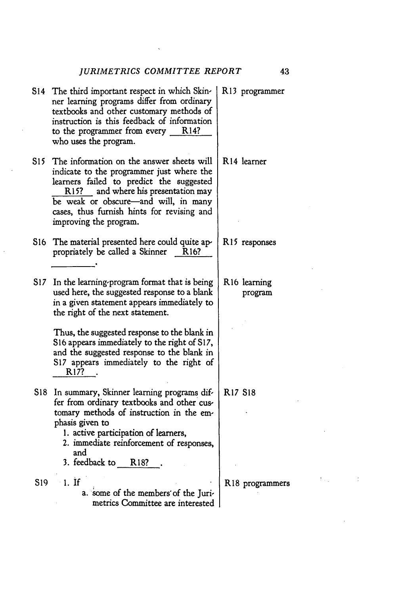$\mathcal{L}_{\text{max}}$  ,  $\mathcal{L}_{\text{max}}$ 

|     | S14 The third important respect in which Skin-<br>ner learning programs differ from ordinary<br>textbooks and other customary methods of<br>instruction is this feedback of information<br>to the programmer from every R14?<br>who uses the program.                                     | R13 programmer                      |
|-----|-------------------------------------------------------------------------------------------------------------------------------------------------------------------------------------------------------------------------------------------------------------------------------------------|-------------------------------------|
| S15 | The information on the answer sheets will<br>indicate to the programmer just where the<br>learners failed to predict the suggested<br>R15? and where his presentation may<br>be weak or obscure-and will, in many<br>cases, thus furnish hints for revising and<br>improving the program. | R14 learner                         |
| S16 | The material presented here could quite ap-<br>propriately be called a Skinner<br>R16?                                                                                                                                                                                                    | R <sub>15</sub> responses           |
| S17 | In the learning program format that is being<br>used here, the suggested response to a blank<br>in a given statement appears immediately to<br>the right of the next statement.                                                                                                           | R <sub>16</sub> learning<br>program |
|     | Thus, the suggested response to the blank in<br>S16 appears immediately to the right of S17,<br>and the suggested response to the blank in<br>S17 appears immediately to the right of<br>R <sub>17?</sub>                                                                                 |                                     |
|     | S18 In summary, Skinner learning programs dif-<br>fer from ordinary textbooks and other cus-<br>tomary methods of instruction in the em-<br>phasis given to<br>1. active participation of learners,<br>2. immediate reinforcement of responses,<br>and<br>3. feedback to R18?             | <b>R17 S18</b>                      |
|     | S19 1. If<br>a. some of the members of the Juri-<br>metrics Committee are interested                                                                                                                                                                                                      | R18 programmers                     |
|     |                                                                                                                                                                                                                                                                                           |                                     |

 $\ddot{\phantom{0}}$ 

43

 $\mathcal{A}(\mathcal{L}_1)$  and  $\mathcal{L}_2$ 

 $\alpha$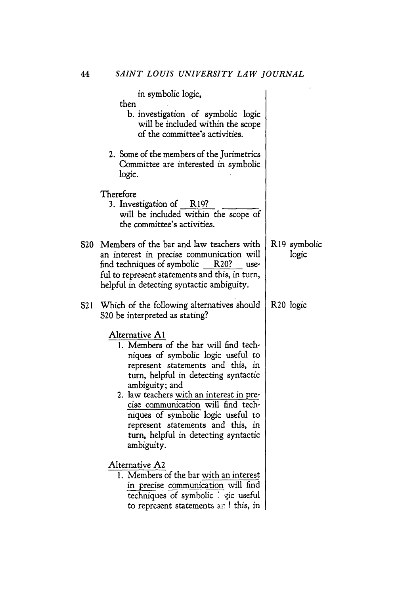|     | in symbolic logic,<br>then<br>b. investigation of symbolic logic<br>will be included within the scope<br>of the committee's activities.                                                                                                                                                                                                                                                                         |                       |
|-----|-----------------------------------------------------------------------------------------------------------------------------------------------------------------------------------------------------------------------------------------------------------------------------------------------------------------------------------------------------------------------------------------------------------------|-----------------------|
|     | 2. Some of the members of the Jurimetrics<br>Committee are interested in symbolic<br>logic.                                                                                                                                                                                                                                                                                                                     |                       |
|     | Therefore<br>3. Investigation of R19?<br>will be included within the scope of<br>the committee's activities.                                                                                                                                                                                                                                                                                                    |                       |
|     | S20 Members of the bar and law teachers with<br>an interest in precise communication will<br>find techniques of symbolic<br>R <sub>20</sub> ?<br>use-<br>ful to represent statements and this, in turn,<br>helpful in detecting syntactic ambiguity.                                                                                                                                                            | R19 symbolic<br>logic |
| S21 | Which of the following alternatives should<br>S20 be interpreted as stating?                                                                                                                                                                                                                                                                                                                                    | R <sub>20</sub> logic |
|     | Alternative A1<br>1. Members of the bar will find tech-<br>niques of symbolic logic useful to<br>represent statements and this, in<br>turn, helpful in detecting syntactic<br>ambiguity; and<br>2. law teachers with an interest in pre-<br>cise communication will find tech-<br>niques of symbolic logic useful to<br>represent statements and this, in<br>turn, helpful in detecting syntactic<br>ambiguity. |                       |
|     | Alternative A2<br>1. Members of the bar with an interest<br>in precise communication will find<br>techniques of symbolic : gic useful<br>to represent statements an ! this, in                                                                                                                                                                                                                                  |                       |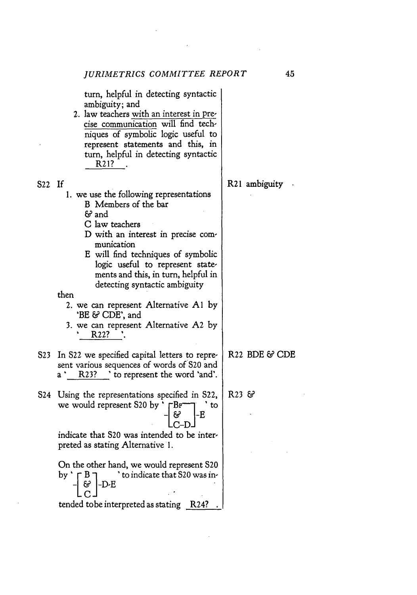turn, helpful in detecting syntactic ambiguity; and

2. law teachers with an interest in precise communication will find techniques of symbolic logic useful to represent statements and this, in turn, helpful in detecting syntactic R21?

1. we use the following representations

B Members of the bar

**&** and

- C law teachers
- D with an interest in precise communication
- E will find techniques of symbolic logic useful to represent statements and this, in turn, helpful in detecting syntactic ambiguity

## then

- 2. we can represent Alternative **Al** by 'BE & CDE', and
- **3.** we can represent Alternative **A2** by R22? .
- **S23** In **S22** we specified capital letters to repre- R22 BDE **& CDE** sent various sequences of words of **S20** and a ' R23? ' to represent the word 'and'.
- S24 Using the representations specified in S22,  $\parallel$  R23 & we would represent S20 by '  $\sqcap$ B <sup>---</sup> T ' to  $C-D$

indicate that **S20** was intended to be interpreted as stating Alternative 1.

On the other hand, we would represent **S20** by  $\uparrow$  **F** B **D.**  $\uparrow$  to indicate that S20 was in-દર -D-E tended tobe interpreted as stating R24?

45

S22 If R21 ambiguity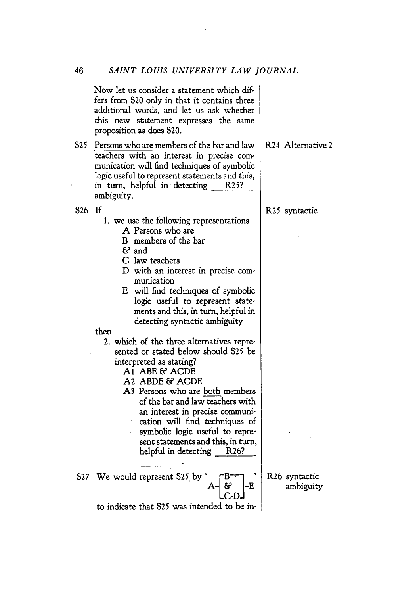Now let us consider a statement which differs from 520 only in that it contains three additional words, and let us ask whether this new statement expresses the same proposition as does S20.

**S25** Persons who are members of the bar and law teachers with an interest in precise communication will find techniques of symbolic logic useful to represent statements and this, in turn, helpful in detecting R25? ambiguity.

**S26** If

- 1. we use the following representations
	- *A* Persons who are
	- B members of the bar
	- & and
	- C law teachers
	- D with an interest in precise communication
	- E will find techniques of symbolic logic useful to represent statements and this, in turn, helpful in detecting syntactic ambiguity

then

- 2. which of the three alternatives represented or stated below should **S25** be interpreted as stating?
	- **Al ABE** & ACDE
	- **A2** ABDE & ACDE
	- **A3** Persons who are both members of the bar and law teachers with an interest in precise communication will find techniques of symbolic logic useful to represent statements and this, in turn, helpful in detecting R26?

**S27** We would represent **S25** by

to indicate that **S25** was intended to be in-

R26 syntactic ambiguity

F.

R24 Alternative 2

R25 syntactic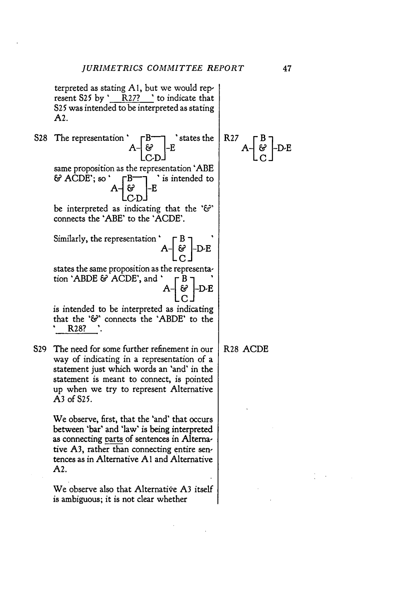terpreted as stating **A** l, but we would represent **S25** by **'** R27? ' to indicate that **S25** was intended to be interpreted as stating **A2.**

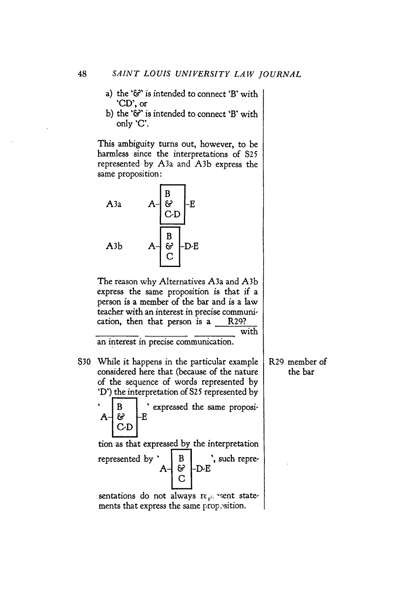- a) the **'&'** is intended to connect 'B' with **'CD',** or
- b) the **'&'** is intended to connect 'B' with only 'C'.

This ambiguity turns out, however, to be harmless since the interpretations of **825** represented by A3a and **A3b** express the same proposition:

 $A = \frac{B}{C \cdot D} - E$ <br> $A = \frac{B}{C} - D \cdot E$ 

The reason why Alternatives A3a and **A3b** express the same proposition is that if a person is a member of the bar and is a law teacher with an interest in precise communication, then that person is a R29? with

an interest in precise communication.

**S30** While it happens in the particular example considered here that (because of the nature of the sequence of words represented by 'D') the interpretation of **S2** 5 represented by

 $A - \mathcal{E}$  **B**  $\vdash$  **E** expressed the same proposi-

-E

 $C<sub>D</sub>$ 

R29 member of the bar

tion as that expressed by the interpretation represented by ' | B | ', such repre-**A& D-E**

sentations do not always rep. sent statements that express the same prop sition.

A3a

**A3b**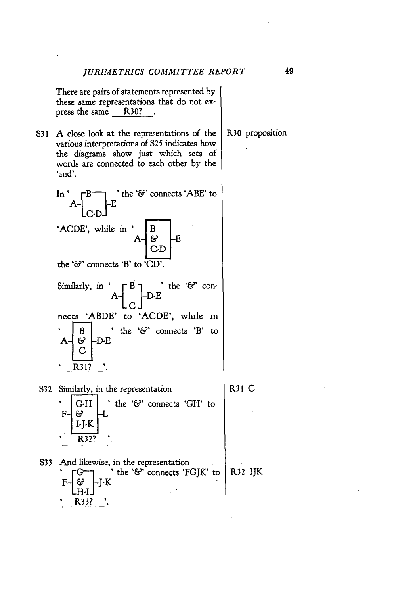There are pairs of statements represented by these same representations that do not express the same R30? .

**S31 A** close look at the representations of the various interpretations of *S25* indicates how the diagrams show just which sets of words are connected to each other by the 'and'.

In 
$$
A - \begin{bmatrix} B \\ C \end{bmatrix} - E
$$
 the '6' connects 'ABE' to  
'ACDE', while in  $A - \begin{bmatrix} B \\ G \\ C \end{bmatrix} - E$   
the '6' connects 'B' to 'CD'.

Similarly, in  $A - \begin{bmatrix} B \\ C \end{bmatrix}$  be ' $\mathcal{C}$ ' connects 'ABDE' to 'ACDE', while in *B* i the ' $\mathcal{E}'$  connects 'B' to  $A - \begin{bmatrix} \mathcal{L} \\ C \end{bmatrix}$  -D-E **4 R31? '**

**S32** Similarly, in the representation

R31 **C**

**&F G-H** the *<sup>V</sup> &'* connects 'GH' to  $\mathbf F$ ල -I-J-K  $\overline{\text{R}}$  32? **S33** And likewise, in the representation<br>  $\overline{G} \rightarrow \overline{G}$   $\overline{G} \rightarrow \overline{G}$  the ' $\overline{G}$ ' connects 'F( - " K the **'&'** connects 'FGJK' to R32 IJKલ્ક -J-K 4 R33? **'**

R30 proposition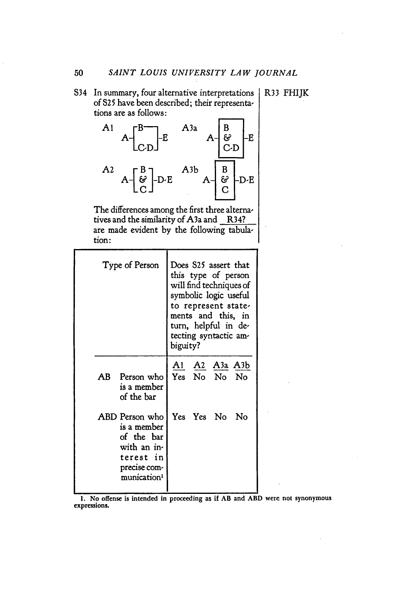S34 In summary, four alternative interpretations R33 FHIJK of S25 have been described; their representa-<br>tions are as follows: tions are as follows:



The differences among the first three alternatives and the similarity of A3a and R34? are made evident by the following tabulation:

|                | Type of Person                                                                                   |  |            | Does S25 assert that<br>this type of person<br>will find techniques of<br>symbolic logic useful<br>to represent state-<br>ments and this, in<br>turn, helpful in de-<br>tecting syntactic am-<br>biguity? |      |  |  |
|----------------|--------------------------------------------------------------------------------------------------|--|------------|-----------------------------------------------------------------------------------------------------------------------------------------------------------------------------------------------------------|------|--|--|
| AB             | Person who<br>is a member<br>of the bar                                                          |  |            | <u>A2 A3a A3b</u><br>Yes No No No                                                                                                                                                                         |      |  |  |
| ABD Person who | is a member<br>of the bar<br>with an in-<br>terest in<br>precise com-<br>munication <sup>1</sup> |  | Yes Yes No |                                                                                                                                                                                                           | - No |  |  |

**1.** No offense is intended in proceeding as if AB and ABD were not synonymousexpressions.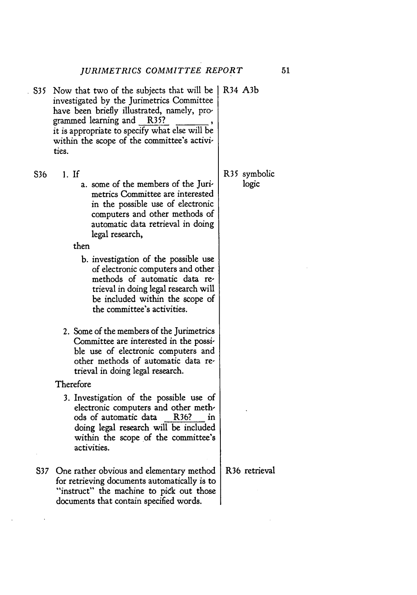- S35 Now that two of the subjects that will be | R34 A3b investigated by the Jurimetrics Committee have been briefly illustrated, namely, programmed learning and R35? \_ it is appropriate to specify what else will be within the scope of the committee's activities.
- **S36 1.** If
	- a. some of the members of the **Juri**metrics Committee are interested in the possible use of electronic computers and other methods of automatic data retrieval in doing legal research,

then

- **b.** investigation of the possible use of electronic computers and other methods of automatic data retrieval in doing legal research will be included within the scope of the committee's activities.
- 2. Some of the members of the Jurimetrics Committee are interested in the possible use of electronic computers and other methods of automatic data retrieval in doing legal research.
- Therefore
	- **3.** Investigation of the possible use of electronic computers and other methods of automatic data R36? in doing legal research will be included within the scope of the committee's activities.
- **S37** One rather obvious and elementary method for retrieving documents automatically is to "instruct" the machine to pick out those documents that contain specified words.

R35 symbolic logic

R36 retrieval

 $51$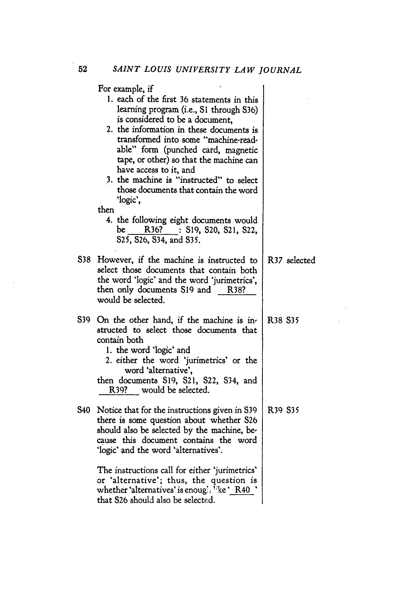|       | For example, if<br>1. each of the first 36 statements in this<br>learning program (i.e., S1 through S36)<br>is considered to be a document.<br>2. the information in these documents is<br>transformed into some "machine-read-<br>able" form (punched card, magnetic<br>tape, or other) so that the machine can<br>have access to it, and<br>3. the machine is "instructed" to select<br>those documents that contain the word<br>'logic',<br>then<br>4. the following eight documents would<br>R36? : S19, S20, S21, S22,<br>be<br>S25, S26, S34, and S35. |                                 |
|-------|--------------------------------------------------------------------------------------------------------------------------------------------------------------------------------------------------------------------------------------------------------------------------------------------------------------------------------------------------------------------------------------------------------------------------------------------------------------------------------------------------------------------------------------------------------------|---------------------------------|
| S38 - | However, if the machine is instructed to<br>select those documents that contain both<br>the word 'logic' and the word 'jurimetrics',<br>then only documents S19 and R38?<br>would be selected.                                                                                                                                                                                                                                                                                                                                                               | R37 selected                    |
| S39 - | On the other hand, if the machine is in-<br>structed to select those documents that<br>contain both<br>1. the word 'logic' and<br>2. either the word 'jurimetrics' or the<br>word 'alternative',<br>then documents S19, S21, S22, S34, and<br>R39? would be selected.                                                                                                                                                                                                                                                                                        | R38 S35                         |
| S40 - | Notice that for the instructions given in S39<br>there is some question about whether S26<br>should also be selected by the machine, be-<br>cause this document contains the word<br>'logic' and the word 'alternatives'.                                                                                                                                                                                                                                                                                                                                    | R <sub>39</sub> S <sub>35</sub> |
|       | The instructions call for either 'jurimetrics'<br>or 'alternative'; thus, the question is<br>whether 'alternatives' is enough <sup>1:</sup> ke ' R40<br>that S26 should also be selected.                                                                                                                                                                                                                                                                                                                                                                    |                                 |

 $\sim 10^{-1}$  $\Delta \sim 10$ 

 $\sim 10^7$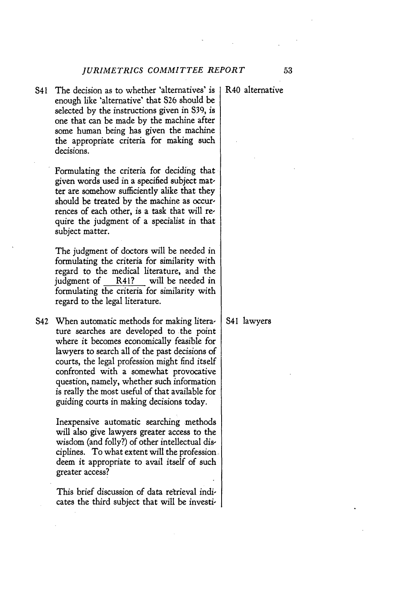S41 The decision as to whether 'alternatives' is enough like 'alternative' that **S26** should be selected **by** the instructions given in **539,** is one that can be made **by** the machine after some human being has given the machine the appropriate criteria for making such decisions.

> Formulating the criteria for deciding that given words used in a specified subject matter are somehow sufficiently alike that they should be treated **by** the machine as occurrences of each other, is a task that will require the judgment of a specialist in that subject matter.

> The judgment of doctors will be needed in formulating the criteria for similarity with regard to the medical literature, and the judgment of R41? will be needed in formulating the criteria for similarity with regard to the legal literature.

S42 When automatic methods for making literature searches are developed to the point where it becomes economically feasible for lawyers to search all of the past decisions of courts, the legal profession might find itself confronted with a somewhat provocative question, namely, whether such information is really the most useful of that available for guiding courts in making decisions today.

> Inexpensive automatic searching methods will also give lawyers greater access to the wisdom (and folly?) of other intellectual disciplines. To what extent will the profession deem it appropriate to avail itself of such greater access?

This brief discussion of data retrieval indicates the third subject that will be investi-

R40 alternative

### **S41** lawyers

53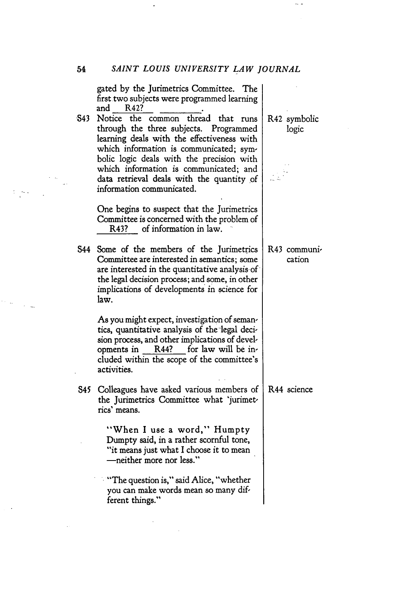$\hat{\boldsymbol{\cdot} }$ 

 $\sim$   $\sim$ 

|  | gated by the Jurimetrics Committee. The<br>first two subjects were programmed learning<br>and<br>R42?<br>S43 Notice the common thread that runs<br>through the three subjects. Programmed<br>learning deals with the effectiveness with<br>which information is communicated; sym-<br>bolic logic deals with the precision with<br>which information is communicated; and<br>data retrieval deals with the quantity of<br>information communicated. | R42 symbolic<br>logic  |
|--|-----------------------------------------------------------------------------------------------------------------------------------------------------------------------------------------------------------------------------------------------------------------------------------------------------------------------------------------------------------------------------------------------------------------------------------------------------|------------------------|
|  | One begins to suspect that the Jurimetrics<br>Committee is concerned with the problem of<br>R43? of information in law.                                                                                                                                                                                                                                                                                                                             |                        |
|  | S44 Some of the members of the Jurimetrics<br>Committee are interested in semantics; some<br>are interested in the quantitative analysis of<br>the legal decision process; and some, in other<br>implications of developments in science for<br>law.                                                                                                                                                                                                | R43 communi-<br>cation |
|  | As you might expect, investigation of seman-<br>tics, quantitative analysis of the legal deci-<br>sion process, and other implications of devel-<br>R44? for law will be in-<br>opments in<br>cluded within the scope of the committee's<br>activities.                                                                                                                                                                                             |                        |
|  | S45 Colleagues have asked various members of<br>the Jurimetrics Committee what 'jurimet-<br>rics' means.                                                                                                                                                                                                                                                                                                                                            | R44 science            |
|  | "When I use a word," Humpty<br>Dumpty said, in a rather scornful tone,<br>"it means just what I choose it to mean<br>-neither more nor less."                                                                                                                                                                                                                                                                                                       |                        |
|  | "The question is," said Alice, "whether<br>you can make words mean so many dif-<br>ferent things."                                                                                                                                                                                                                                                                                                                                                  |                        |

 $\sim$   $\sim$ 

 $\bar{\mathcal{A}}$ 

 $\label{eq:2.1} \begin{array}{l} \mathbb{E}\left[\left\langle \mathbf{S} \right\rangle \mathbf{S} \right] = \mathbb{E}\left[\mathbf{S} \right] \end{array}$ 

 $\label{eq:2.1} \frac{1}{2} \left( \frac{1}{2} \right) \frac{1}{2} \left( \frac{1}{2} \right) \frac{1}{2} \left( \frac{1}{2} \right)$ 

 $\frac{1}{2}$  .

 $\sim$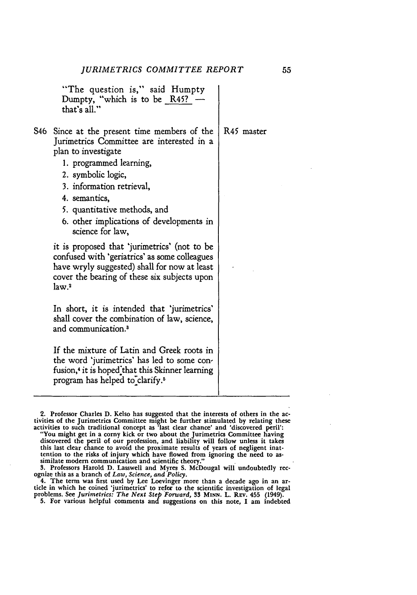"The question is," said Humpty Dumpty, "which is to be R45? that's all."

- S46 Since at the present time members of the Jurimetrics Committee are interested in a plan to investigate
	- **1.** programmed learning,
	- 2. symbolic logic,
	- **3.** information retrieval,
	- 4. semantics,
	- **5.** quantitative methods, and
	- **6.** other implications of developments in science for law,

it is proposed that 'jurimetrics' (not to be confused with 'geriatrics' as some colleagues have wryly suggested) shall for now at least cover the bearing of these six subjects upon law.2

In short, it is intended that 'jurimetrics' shall cover the combination of law, science, and communication.'

**If** the mixture of Latin and Greek roots in the word 'jurimetrics' has led to some confusion,<sup>4</sup> it is hoped that this Skinner learning program has helped to"clarify. <sup>5</sup>

**4.** The term was first used **by** Lee Loevinger more than a decade ago in an article in which he coined 'jurimetrics' to refer to the scientific investigation of legal<br>problems. See *Jurimetrics: The Next Step Forward*, 33 MINN. L. REV. 455 (1949).<br>5. For various helpful comments and suggestions on t

R45 master

<sup>2.</sup> Professor Charles D. Kelso has suggested that the interests of others in the activities of the Jurimetrics Committee might be further stimulated by relating these activities to such traditional concept as 'last clear ch tention to the risks of injury which have flowed from ignoring the need to as- similate modern communication and scientific theory."

**<sup>3.</sup>** Professors Harold **D.** Lasswell and Myres **S.** McDougal will undoubtedly rec- ognize this as a branch of *Law, Science, and Policy.*